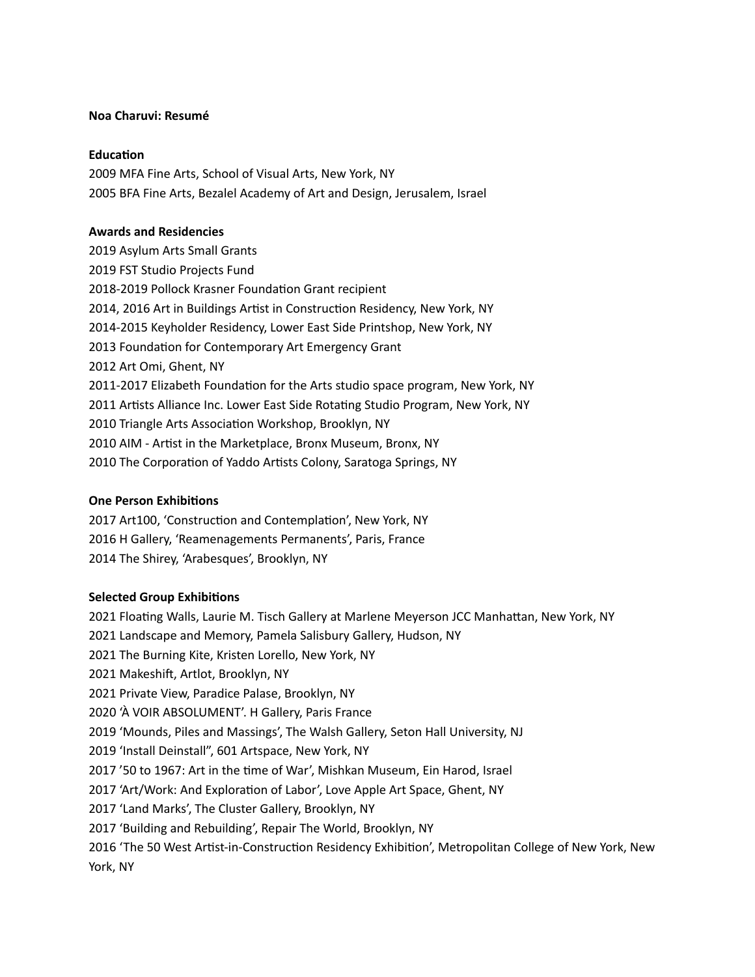#### **Noa Charuvi: Resumé**

#### **Education**

2009 MFA Fine Arts, School of Visual Arts, New York, NY 2005 BFA Fine Arts, Bezalel Academy of Art and Design, Jerusalem, Israel

#### **Awards and Residencies**

2019 Asylum Arts Small Grants 2019 FST Studio Projects Fund 2018-2019 Pollock Krasner Foundation Grant recipient 2014, 2016 Art in Buildings Artist in Construction Residency, New York, NY 2014-2015 Keyholder Residency, Lower East Side Printshop, New York, NY 2013 Foundation for Contemporary Art Emergency Grant 2012 Art Omi, Ghent, NY 2011-2017 Elizabeth Foundation for the Arts studio space program, New York, NY 2011 Artists Alliance Inc. Lower East Side Rotating Studio Program, New York, NY 2010 Triangle Arts Association Workshop, Brooklyn, NY 2010 AIM - Artist in the Marketplace, Bronx Museum, Bronx, NY 2010 The Corporation of Yaddo Artists Colony, Saratoga Springs, NY

## **One Person Exhibitions**

2017 Art100, 'Construction and Contemplation', New York, NY 2016 H Gallery, 'Reamenagements Permanents', Paris, France 2014 The Shirey, 'Arabesques', Brooklyn, NY

## **Selected Group Exhibitions**

2021 Floating Walls, Laurie M. Tisch Gallery at Marlene Meyerson JCC Manhattan, New York, NY 2021 Landscape and Memory, Pamela Salisbury Gallery, Hudson, NY 2021 The Burning Kite, Kristen Lorello, New York, NY 2021 Makeshift, Artlot, Brooklyn, NY 2021 Private View, Paradice Palase, Brooklyn, NY 2020 'À VOIR ABSOLUMENT'. H Gallery, Paris France 2019 'Mounds, Piles and Massings', The Walsh Gallery, Seton Hall University, NJ 2019 'Install Deinstall", 601 Artspace, New York, NY 2017 '50 to 1967: Art in the time of War', Mishkan Museum, Ein Harod, Israel 2017 'Art/Work: And Exploration of Labor', Love Apple Art Space, Ghent, NY 2017 'Land Marks', The Cluster Gallery, Brooklyn, NY 2017 'Building and Rebuilding', Repair The World, Brooklyn, NY 2016 'The 50 West Artist-in-Construction Residency Exhibition', Metropolitan College of New York, New York, NY